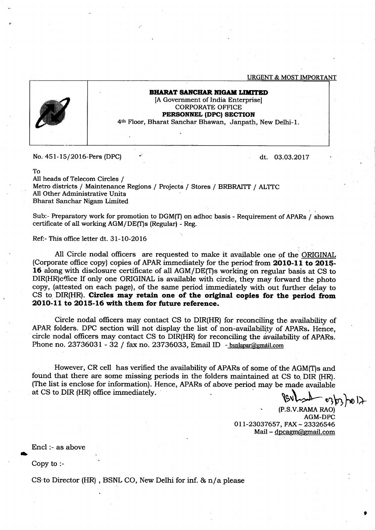**URGENT & MOST IMPORTANT** 



## BHARAT SANCHAR NIGAM LIMITED [A Government of India Enterprise] CORPORATE OFFICE PERSONNEL (DPC) SECTION 4ft Floor, Bharat Sanchar Bhawan, Janpath, New Delhi-l.

No. 45 l- 15/2016-Pers (DPC)

dt. 03.03.2017

To

All heads of Telecom Circles / Metro districts / Maintenance Regions / Projects / Stores / BRBRAITT / ALTTC All Other Administrative Units Bharat Sanchar Nigam Limited

Sub:- Preparatory work for promotion to DGM(T) on adhoc basis - Requirement of APARs / shown certificate of all working AGM/DE(T)s (Regular) - Reg.

Ref:- This office letter dt. 31-10-2016

All Circle nodal officers are requested to make it available one of the ORIGINAL (Corporate office copy) copies of APAR immediately for the period from 2010-11 to 2015-16 along with disclosure certificate of all AGM/DE(T)s working on regular basis at CS to DIR(HR)cffice If only one ORIGINAL is available with circle, they may forward the photo copy, (attested on each page), of the same period immediately with out further deiay to CS to DIR(HR). Circles may retain one of the original copies for the period from 2O1O-11 to 2015-16 with them for future reference.

Circle nodal officers may contact CS to DIR(HR) for reconciling the availability of APAR folders. DPC section will not display the list of non-availability of APARs. Hence, circle nodal officers may contact CS to DIR(HR) for reconciling the availability of APARs. Phone no. 23736031 - 32 / fax no. 23736033, Email ID - bsnlapar@gmail.com

However, CR cell has verified the availability of APARs of some of the AGM(T)s and found that there are some missing periods in the folders maintained at CS to DIR (HR). (The list is enclose for information). Hence, APARs of above period may be made available at CS to DIR (HR) office immediately.

 $\lim_{\epsilon\to 0} \frac{1}{\epsilon}$  or  $\frac{1}{\epsilon}$ 

(P.S.V.RAMA RAO) AGM-DPC 011-23037657, FAX - 23326546 Mail -  $\frac{d}{d}$  -  $\frac{d}{d}$   $\frac{d}{d}$   $\frac{d}{d}$   $\frac{d}{d}$   $\frac{d}{d}$   $\frac{d}{d}$   $\frac{d}{d}$   $\frac{d}{d}$   $\frac{d}{d}$   $\frac{d}{d}$   $\frac{d}{d}$   $\frac{d}{d}$   $\frac{d}{d}$   $\frac{d}{d}$   $\frac{d}{d}$   $\frac{d}{d}$   $\frac{d}{d}$   $\frac{d}{d}$   $\frac{d}{d}$   $\frac{d}{d}$   $\$ 

Encl :- as above

Copy to :-

CS'to Director (HR) , BSNL CO, New Delhi for inf. & n/a please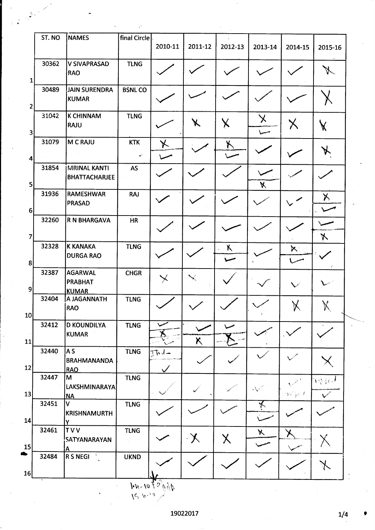|                                  | ST. NO | <b>NAMES</b>                                     | final Circle                |                      |         |                           |                       |                   |                |
|----------------------------------|--------|--------------------------------------------------|-----------------------------|----------------------|---------|---------------------------|-----------------------|-------------------|----------------|
|                                  |        |                                                  |                             | 2010-11              | 2011-12 | 2012-13                   | 2013-14               | 2014-15           | 2015-16        |
| $\mathbf{1}$                     | 30362  | <b>V SIVAPRASAD</b><br>RAO                       | <b>TLNG</b>                 |                      |         |                           |                       |                   |                |
|                                  | 30489  | <b>JAIN SURENDRA</b><br>KUMAR                    | <b>BSNLCO</b>               |                      |         |                           |                       |                   |                |
| $\mathbf{2}$                     | 31042  | <b>K CHINNAM</b><br>RAJU                         | <b>TLNG</b>                 |                      | X       | $\boldsymbol{\mathsf{X}}$ | $\boldsymbol{\times}$ | ${\sf X}$         | X              |
| $\overline{\mathbf{3}}$          | 31079  | M C RAJU                                         | <b>KTK</b><br>$\mathcal{L}$ | 乄                    |         | X                         |                       |                   | X              |
| 4                                | 31854  | <b>MRINAL KANTI</b><br><b>BHATTACHARJEE</b>      | AS                          |                      |         |                           |                       |                   |                |
| 5 <sub>l</sub>                   | 31936  | <b>RAMESHWAR</b><br><b>PRASAD</b>                | <b>RAJ</b>                  |                      |         |                           | X                     |                   | X              |
| 6 <sup>1</sup><br>$\overline{7}$ | 32260  | <b>R N BHARGAVA</b>                              | <b>HR</b>                   |                      |         |                           |                       |                   |                |
| 8                                | 32328  | <b>K KANAKA</b><br><b>DURGA RAO</b>              | <b>TLNG</b>                 |                      |         | $\kappa$                  |                       | $\aleph$ :        | $\bm{\lambda}$ |
| 9                                | 32387  | <b>AGARWAL</b><br><b>PRABHAT</b><br><b>KUMAR</b> | <b>CHGR</b>                 | $\color{red} \times$ |         |                           |                       |                   |                |
| 10 <sup>1</sup>                  | 32404  | A JAGANNATH<br>RAO                               | <b>TLNG</b>                 |                      |         |                           |                       | $\bm{\mathsf{X}}$ | $\aleph$       |
| 11                               | 32412  | <b>D KOUNDILYA</b><br>KUMAR                      | <b>TLNG</b>                 | ╰<br>人               | X       |                           |                       |                   |                |
| 12                               | 32440  | AS<br><b>BRAHMANANDA</b><br><b>RAO</b>           | <b>TLNG</b>                 | TAJ-<br>$\checkmark$ |         |                           |                       |                   |                |
| 13                               | 32447  | M<br><b>LAKSHMINARAYA</b><br><b>NA</b>           | <b>TLNG</b>                 |                      |         |                           |                       | Yezhoù f          | <b>Wight</b>   |
| 14                               | 32451  | V<br>KRISHNAMURTH<br>Y                           | <b>TLNG</b>                 |                      |         |                           | $\star$               |                   |                |
| 15                               | 32461  | TVV<br><b>SATYANARAYAN</b><br><u>А</u>           | <b>TLNG</b>                 |                      | $\chi$  | $\pmb{\times}$            | $\chi$                | ✕                 |                |
| 16                               | 32484  | <b>R S NEGI</b>                                  | <b>UKND</b>                 |                      |         |                           |                       |                   |                |

 $15.9.1010 \frac{1}{2}$ 

 $1/4$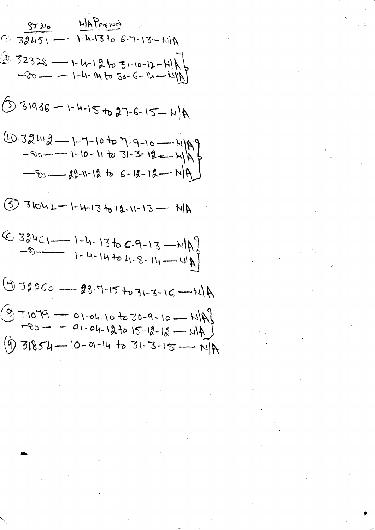$$
\frac{37x_{0}}{32451} - \frac{411876x^{100}}{1.4-1366-7-13-114}
$$
\n  
\n
$$
\frac{37x_{0}}{1.4-1366-7-13-114}
$$
\n  
\n
$$
-60 - -1-4-1463-6-16-1111
$$
\n  
\n
$$
\frac{1}{10}32413-1-1-1-1562-6-15-1114
$$
\n  
\n
$$
\frac{-60-1-1-10+1631-3-12-1143}{1-3-12-114}
$$
\n  
\n
$$
\frac{-60-1-1-10-11631-3-12-1143}{19-1-1266-18-114}
$$
\n  
\n
$$
\frac{-60-1-1-13612-1-13-1143}{19-1-13612-11-13-114}
$$
\n  
\n
$$
\frac{-60-1-1-13612-1-13-1143}{1-1-11461-8-11-114}
$$
\n  
\n
$$
\frac{-60-1-1-1461-8-11-1141}{1-11401-8-11-1141}
$$
\n  
\n
$$
\frac{-60-1-01-10+030-9-10-1141}{1-11401-8-11-12-114}
$$
\n  
\n
$$
\frac{-60-1-01-10+030-9-10-1141}{1141}
$$
\n  
\n
$$
\frac{-60-1-01-11}{10-11} = \frac{13-13-15-11}{1141}
$$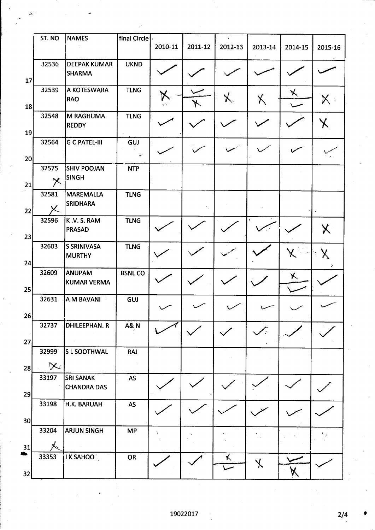|    | ST. NO                  | <b>NAMES</b>                           | final Circle    |         |         |         |            |         |                   |
|----|-------------------------|----------------------------------------|-----------------|---------|---------|---------|------------|---------|-------------------|
|    |                         |                                        |                 | 2010-11 | 2011-12 | 2012-13 | 2013-14    | 2014-15 | 2015-16           |
|    | 32536                   | <b>DEEPAK KUMAR</b><br><b>SHARMA</b>   | <b>UKND</b>     |         |         |         |            |         |                   |
| 17 | 32539                   | A KOTESWARA<br><b>RAO</b>              | <b>TLNG</b>     |         |         |         | X          | X.      | Х                 |
| 18 |                         |                                        |                 |         |         |         |            |         |                   |
| 19 | 32548                   | <b>M RAGHUMA</b><br><b>REDDY</b>       | <b>TLNG</b>     |         |         |         |            |         |                   |
|    | 32564                   | <b>G C PATEL-III</b>                   | GUJ             |         |         |         |            |         |                   |
| 20 |                         |                                        | سننبذ           |         |         |         |            |         |                   |
|    | 32575                   | <b>SHIV POOJAN</b>                     | <b>NTP</b>      |         |         |         |            |         |                   |
| 21 | $\overline{\mathsf{x}}$ | <b>ISINGH</b>                          |                 |         |         |         |            |         |                   |
|    | 32581                   | <b>MAREMALLA</b>                       | <b>TLNG</b>     |         |         |         |            |         |                   |
| 22 |                         | <b>SRIDHARA</b>                        |                 |         |         |         |            |         |                   |
|    | 32596                   | K.V.S.RAM                              | <b>TLNG</b>     |         |         |         |            |         |                   |
| 23 |                         | <b>PRASAD</b>                          |                 |         |         |         |            |         | $\bm{\mathsf{X}}$ |
|    | 32603                   | <b>S SRINIVASA</b><br><b>MURTHY</b>    | <b>TLNG</b>     |         |         |         |            | χ       |                   |
| 24 |                         |                                        |                 |         |         |         |            |         |                   |
|    | 32609                   | ANUPAM<br><b>KUMAR VERMA</b>           | <b>BSNLCO</b>   |         |         |         |            | X       |                   |
| 25 |                         |                                        |                 |         |         |         |            |         |                   |
|    | 32631                   | A M BAVANI                             | GUJ             |         |         |         |            |         |                   |
| 26 |                         |                                        |                 |         |         |         |            |         |                   |
|    | 32737                   | <b>DHILEEPHAN. R</b>                   | <b>A&amp; N</b> |         |         |         |            |         |                   |
|    |                         |                                        |                 |         |         |         | $\sqrt{2}$ |         |                   |
| 27 | 32999                   | <b>S L SOOTHWAL</b>                    | <b>RAJ</b>      |         |         |         |            |         |                   |
|    |                         |                                        |                 |         |         |         |            |         |                   |
| 28 | $\chi$                  |                                        |                 |         |         |         |            |         |                   |
|    | 33197                   | <b>SRI SANAK</b><br><b>CHANDRA DAS</b> | AS              |         |         |         |            |         |                   |
| 29 |                         |                                        |                 |         |         |         |            |         |                   |
|    | 33198                   | H.K. BARUAH                            | <b>AS</b>       |         |         |         |            |         |                   |
| 30 |                         |                                        |                 |         |         |         |            |         |                   |
|    | 33204                   | <b>ARJUN SINGH</b>                     | <b>MP</b>       | Ń       |         |         |            |         |                   |
| 31 | 33353                   |                                        |                 |         |         |         |            |         |                   |
|    |                         |                                        | OR              |         |         | ĸ       |            |         |                   |
| 32 |                         |                                        |                 |         |         |         |            | X       |                   |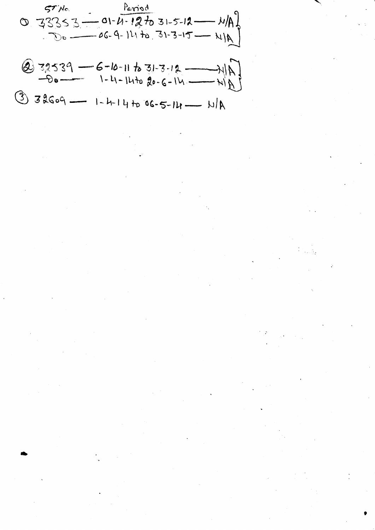$$
0.33353 - 01 - 4 - 127031 - 5 - 12 - 11A\n0.33353 - 06 - 9 - 147031 - 31 - 3 - 15 - 11A\n0.32539 - 6 - 10 - 117031 - 3 - 12 - 11A\n0.32539 - 6 - 10 - 117031 - 3 - 12 - 11A\n0.32509 - 1 - 4 - 147036 - 5 - 14 - 11A
$$

 $\frac{1}{\sqrt{2}}$ 

 $\mathbb{R}^2$ 

 $\left\langle \Psi_{\alpha}\right\rangle$ 

 $\frac{3}{3}$ 

 $\label{eq:2} \frac{1}{2} \sum_{i=1}^n \frac{1}{2} \sum_{j=1}^n \frac{1}{2} \sum_{j=1}^n \frac{1}{2} \sum_{j=1}^n \frac{1}{2} \sum_{j=1}^n \frac{1}{2} \sum_{j=1}^n \frac{1}{2} \sum_{j=1}^n \frac{1}{2} \sum_{j=1}^n \frac{1}{2} \sum_{j=1}^n \frac{1}{2} \sum_{j=1}^n \frac{1}{2} \sum_{j=1}^n \frac{1}{2} \sum_{j=1}^n \frac{1}{2} \sum_{j=1}^n \frac{1}{$ 

 $\frac{1}{2} \sum_{i=1}^{n} \frac{1}{i} \sum_{j=1}^{n} \frac{1}{j} \sum_{j=1}^{n} \frac{1}{j} \sum_{j=1}^{n} \frac{1}{j} \sum_{j=1}^{n} \frac{1}{j} \sum_{j=1}^{n} \frac{1}{j} \sum_{j=1}^{n} \frac{1}{j} \sum_{j=1}^{n} \frac{1}{j} \sum_{j=1}^{n} \frac{1}{j} \sum_{j=1}^{n} \frac{1}{j} \sum_{j=1}^{n} \frac{1}{j} \sum_{j=1}^{n} \frac{1}{j} \sum_{j=1}^{n$ 

 $\frac{1}{2} \sum_{i=1}^{n} \frac{1}{2} \sum_{j=1}^{n} \frac{1}{2} \sum_{j=1}^{n} \frac{1}{2} \sum_{j=1}^{n} \frac{1}{2} \sum_{j=1}^{n} \frac{1}{2} \sum_{j=1}^{n} \frac{1}{2} \sum_{j=1}^{n} \frac{1}{2} \sum_{j=1}^{n} \frac{1}{2} \sum_{j=1}^{n} \frac{1}{2} \sum_{j=1}^{n} \frac{1}{2} \sum_{j=1}^{n} \frac{1}{2} \sum_{j=1}^{n} \frac{1}{2} \sum_{j=1}^{n$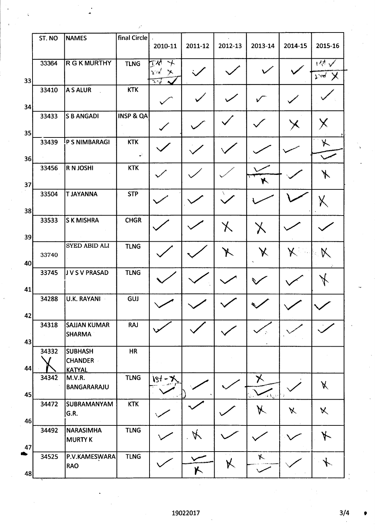|    | ST. NO | <b>NAMES</b>                         | final Circle         |                                                                              |          |           |                   |                 |                  |
|----|--------|--------------------------------------|----------------------|------------------------------------------------------------------------------|----------|-----------|-------------------|-----------------|------------------|
|    |        |                                      |                      | 2010-11                                                                      | 2011-12  | 2012-13   | 2013-14           | 2014-15         | 2015-16          |
|    | 33364  | <b>R G K MURTHY</b>                  | <b>TLNG</b>          | TX1<br>$\rightarrow$                                                         |          |           |                   |                 | سم الباد         |
| 33 |        |                                      |                      | $\mathbf{Y}^{\mathcal{U}}$<br>-≫<br>$\overline{\lambda}$ r $\overline{\ell}$ |          |           |                   |                 | $\sum_{i=1}^{n}$ |
|    | 33410  | A S ALUR                             | <b>KTK</b>           |                                                                              |          |           |                   |                 |                  |
| 34 |        |                                      |                      |                                                                              |          |           |                   |                 |                  |
|    | 33433  | <b>S B ANGADI</b>                    | <b>INSP &amp; QA</b> |                                                                              |          |           |                   |                 |                  |
| 35 |        |                                      |                      |                                                                              |          |           |                   |                 |                  |
|    | 33439  | P S NIMBARAGI                        | <b>KTK</b>           |                                                                              |          |           |                   |                 | ⊁                |
| 36 |        |                                      | $\mathcal{L}$        |                                                                              |          |           |                   |                 |                  |
|    | 33456  | <b>R N JOSHI</b>                     | <b>KTK</b>           |                                                                              |          |           |                   |                 | $\cancel{r}$     |
| 37 |        |                                      |                      |                                                                              |          |           | H                 |                 |                  |
|    | 33504  | <b>T JAYANNA</b>                     | <b>STP</b>           |                                                                              |          | V         |                   |                 | Χ                |
| 38 |        |                                      |                      |                                                                              |          |           |                   |                 |                  |
|    | 33533  | <b>SK MISHRA</b>                     | <b>CHGR</b>          |                                                                              |          | 乂         | $\lambda$         |                 |                  |
| 39 |        |                                      |                      |                                                                              |          |           |                   |                 |                  |
|    | 33740  | <b>SYED ABID ALI</b>                 | <b>TLNG</b>          |                                                                              |          | $\lambda$ | $\bm{\mathsf{X}}$ | $\mathcal{K}$ . | $\aleph$         |
| 40 |        |                                      |                      |                                                                              |          |           |                   |                 |                  |
|    | 33745  | J V S V PRASAD                       | <b>TLNG</b>          |                                                                              |          |           |                   |                 |                  |
| 41 |        |                                      |                      |                                                                              |          |           |                   |                 |                  |
|    | 34288  | U.K. RAYANI                          | GUJ                  |                                                                              |          |           |                   |                 |                  |
| 42 |        |                                      |                      |                                                                              |          |           |                   |                 |                  |
|    | 34318  | <b>SAJJAN KUMAR</b><br><b>SHARMA</b> | <b>RAJ</b>           |                                                                              |          |           |                   |                 |                  |
| 43 |        |                                      |                      |                                                                              |          |           |                   |                 |                  |
|    | 34332  | <b>SUBHASH</b><br><b>CHANDER</b>     | HR                   |                                                                              |          |           |                   |                 |                  |
| 44 |        | <b>KATYAL</b>                        |                      |                                                                              |          |           |                   |                 |                  |
|    | 34342  | M.V.R.<br><b>BANGARARAJU</b>         | <b>TLNG</b>          | J84                                                                          |          |           | ✕                 |                 | X                |
| 45 |        |                                      |                      |                                                                              |          |           | $4\Omega$         |                 |                  |
|    | 34472  | <b>SUBRAMANYAM</b><br>G.R.           | <b>KTK</b>           |                                                                              |          |           | K                 | X               | $\mathsf{X}$     |
| 46 |        |                                      |                      |                                                                              |          |           |                   |                 |                  |
|    | 34492  | NARASIMHA<br><b>MURTY K</b>          | <b>TLNG</b>          |                                                                              | Á.       |           |                   |                 | $\star$          |
| 47 |        |                                      |                      |                                                                              |          |           |                   |                 |                  |
|    | 34525  | P.V.KAMESWARA<br><b>RAO</b>          | <b>TLNG</b>          |                                                                              |          | Κ         | $\kappa$          |                 |                  |
| 48 |        |                                      |                      |                                                                              | $\kappa$ |           |                   |                 |                  |

 $3/4$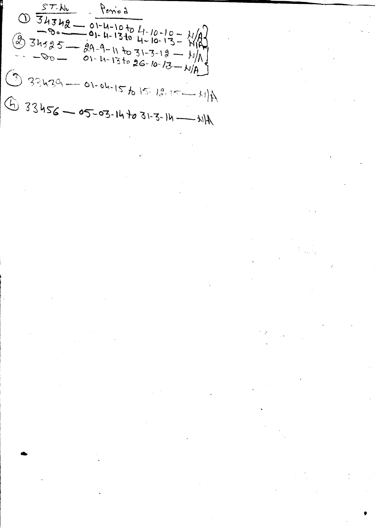$ST.Ho$ Period  $\frac{0}{2} = \frac{34342}{0.02} = \frac{01-4-1040}{0.1-1340} = \frac{11-10-10}{4-10-13} = \frac{11}{11}$  $\bigcirc$  34525 - 29-9-11 to 31-3-12 - 11/A]  $01 - 4 - 13$  to 26-10-13 -  $N/A$  $933439 - 01-04-15615.18.15-11)A$  $473456 - 05-03-14 + 031-3-14-114$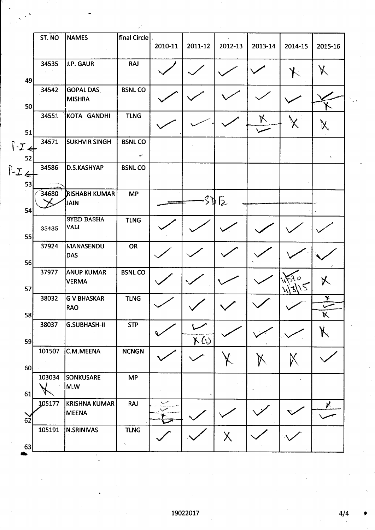|                                 | ST. NO | <b>NAMES</b>                      | final Circle        |         |              |          |         |         |                         |
|---------------------------------|--------|-----------------------------------|---------------------|---------|--------------|----------|---------|---------|-------------------------|
|                                 |        |                                   |                     | 2010-11 | 2011-12      | 2012-13  | 2013-14 | 2014-15 | 2015-16                 |
|                                 | 34535  | J.P. GAUR                         | <b>RAJ</b>          |         |              |          |         |         |                         |
| 49                              |        |                                   |                     |         |              |          |         |         |                         |
| 50                              | 34542  | <b>GOPAL DAS</b><br><b>MISHRA</b> | <b>BSNLCO</b>       |         |              |          |         |         |                         |
|                                 | 34551  | KOTA GANDHI                       | <b>TLNG</b>         |         |              |          | X       |         |                         |
| 51                              |        |                                   |                     |         |              |          |         |         |                         |
| $\hat{V}$ - $\mathcal{I}$<br>52 | 34571  | <b>SUKHVIR SINGH</b>              | <b>BSNLCO</b><br>Ý. |         |              |          |         |         |                         |
|                                 | 34586  | D.S.KASHYAP                       | <b>BSNLCO</b>       |         |              |          |         |         |                         |
| $P-Z$<br>53                     |        |                                   |                     |         |              |          |         |         |                         |
|                                 | 34680  | ∫RISHABH KUMAR                    | <b>MP</b>           |         |              |          |         |         |                         |
| 54                              |        | <b>JAIN</b>                       |                     |         |              | 305      |         |         |                         |
|                                 |        | <b>SYED BASHA</b>                 | <b>TLNG</b>         |         |              |          |         |         |                         |
|                                 | 35435  | <b>VALI</b>                       |                     |         |              |          |         |         |                         |
| 55                              | 37924  | <b>MANASENDU</b><br><b>DAS</b>    | OR                  |         |              |          |         |         |                         |
| 56                              |        |                                   |                     |         |              |          |         |         |                         |
| 57                              | 37977  | <b>ANUP KUMAR</b><br><b>VERMA</b> | <b>BSNLCO</b>       |         |              |          |         |         | 以                       |
|                                 | 38032  | <b>G V BHASKAR</b>                | <b>TLNG</b>         |         |              |          |         | N).     | $\overline{\mathbf{r}}$ |
| 58                              |        | RAO                               |                     |         |              |          |         |         | $\Join$                 |
|                                 | 38037  | <b>G.SUBHASH-II</b>               | <b>STP</b>          |         |              |          |         |         |                         |
| 59                              |        |                                   |                     |         | $\kappa$ (i) |          |         |         |                         |
| 60                              | 101507 | C.M.MEENA                         | <b>NCNGN</b>        |         |              |          |         |         |                         |
|                                 | 103034 | <b>SONKUSARE</b>                  | <b>MP</b>           |         |              |          |         |         |                         |
| 61                              |        | M.W                               |                     |         |              |          |         |         |                         |
|                                 | 105177 | <b>KRISHNA KUMAR</b>              | <b>RAJ</b>          | سمديه   |              |          |         |         | X.                      |
| 62                              |        | <b>MEENA</b>                      |                     |         |              |          |         |         |                         |
|                                 | 105191 | <b>N.SRINIVAS</b>                 | <b>TLNG</b>         |         |              | $\times$ |         |         |                         |
| 63                              |        |                                   | $\chi$              |         |              |          |         |         |                         |

 $4/4$